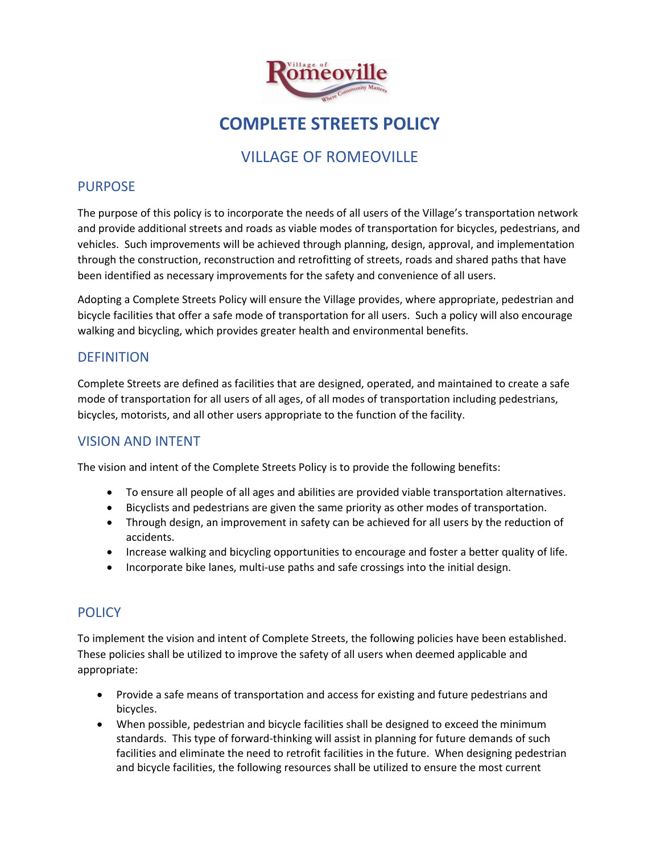

# **COMPLETE STREETS POLICY**

# VILLAGE OF ROMEOVILLE

#### PURPOSE

The purpose of this policy is to incorporate the needs of all users of the Village's transportation network and provide additional streets and roads as viable modes of transportation for bicycles, pedestrians, and vehicles. Such improvements will be achieved through planning, design, approval, and implementation through the construction, reconstruction and retrofitting of streets, roads and shared paths that have been identified as necessary improvements for the safety and convenience of all users.

Adopting a Complete Streets Policy will ensure the Village provides, where appropriate, pedestrian and bicycle facilities that offer a safe mode of transportation for all users. Such a policy will also encourage walking and bicycling, which provides greater health and environmental benefits.

## **DEFINITION**

Complete Streets are defined as facilities that are designed, operated, and maintained to create a safe mode of transportation for all users of all ages, of all modes of transportation including pedestrians, bicycles, motorists, and all other users appropriate to the function of the facility.

## VISION AND INTENT

The vision and intent of the Complete Streets Policy is to provide the following benefits:

- To ensure all people of all ages and abilities are provided viable transportation alternatives.
- Bicyclists and pedestrians are given the same priority as other modes of transportation.
- Through design, an improvement in safety can be achieved for all users by the reduction of accidents.
- Increase walking and bicycling opportunities to encourage and foster a better quality of life.
- Incorporate bike lanes, multi-use paths and safe crossings into the initial design.

## **POLICY**

To implement the vision and intent of Complete Streets, the following policies have been established. These policies shall be utilized to improve the safety of all users when deemed applicable and appropriate:

- Provide a safe means of transportation and access for existing and future pedestrians and bicycles.
- When possible, pedestrian and bicycle facilities shall be designed to exceed the minimum standards. This type of forward-thinking will assist in planning for future demands of such facilities and eliminate the need to retrofit facilities in the future. When designing pedestrian and bicycle facilities, the following resources shall be utilized to ensure the most current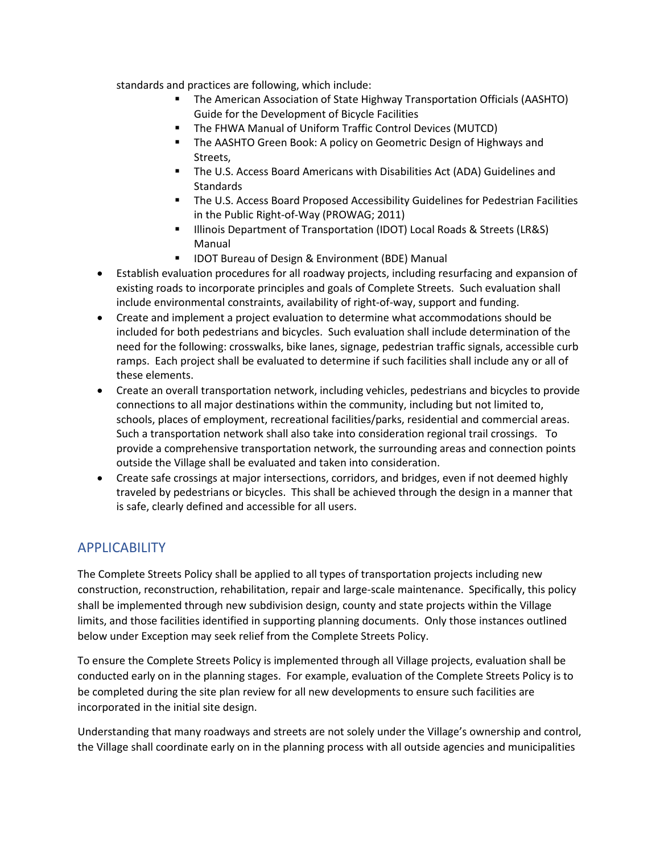standards and practices are following, which include:

- The American Association of State Highway Transportation Officials (AASHTO) Guide for the Development of Bicycle Facilities
- The FHWA Manual of Uniform Traffic Control Devices (MUTCD)
- **The AASHTO Green Book: A policy on Geometric Design of Highways and** Streets,
- **The U.S. Access Board Americans with Disabilities Act (ADA) Guidelines and Standards**
- The U.S. Access Board Proposed Accessibility Guidelines for Pedestrian Facilities in the Public Right-of-Way (PROWAG; 2011)
- **Illinois Department of Transportation (IDOT) Local Roads & Streets (LR&S)** Manual
- IDOT Bureau of Design & Environment (BDE) Manual
- Establish evaluation procedures for all roadway projects, including resurfacing and expansion of existing roads to incorporate principles and goals of Complete Streets. Such evaluation shall include environmental constraints, availability of right-of-way, support and funding.
- Create and implement a project evaluation to determine what accommodations should be included for both pedestrians and bicycles. Such evaluation shall include determination of the need for the following: crosswalks, bike lanes, signage, pedestrian traffic signals, accessible curb ramps. Each project shall be evaluated to determine if such facilities shall include any or all of these elements.
- Create an overall transportation network, including vehicles, pedestrians and bicycles to provide connections to all major destinations within the community, including but not limited to, schools, places of employment, recreational facilities/parks, residential and commercial areas. Such a transportation network shall also take into consideration regional trail crossings. To provide a comprehensive transportation network, the surrounding areas and connection points outside the Village shall be evaluated and taken into consideration.
- Create safe crossings at major intersections, corridors, and bridges, even if not deemed highly traveled by pedestrians or bicycles. This shall be achieved through the design in a manner that is safe, clearly defined and accessible for all users.

## APPLICABILITY

The Complete Streets Policy shall be applied to all types of transportation projects including new construction, reconstruction, rehabilitation, repair and large-scale maintenance. Specifically, this policy shall be implemented through new subdivision design, county and state projects within the Village limits, and those facilities identified in supporting planning documents. Only those instances outlined below under Exception may seek relief from the Complete Streets Policy.

To ensure the Complete Streets Policy is implemented through all Village projects, evaluation shall be conducted early on in the planning stages. For example, evaluation of the Complete Streets Policy is to be completed during the site plan review for all new developments to ensure such facilities are incorporated in the initial site design.

Understanding that many roadways and streets are not solely under the Village's ownership and control, the Village shall coordinate early on in the planning process with all outside agencies and municipalities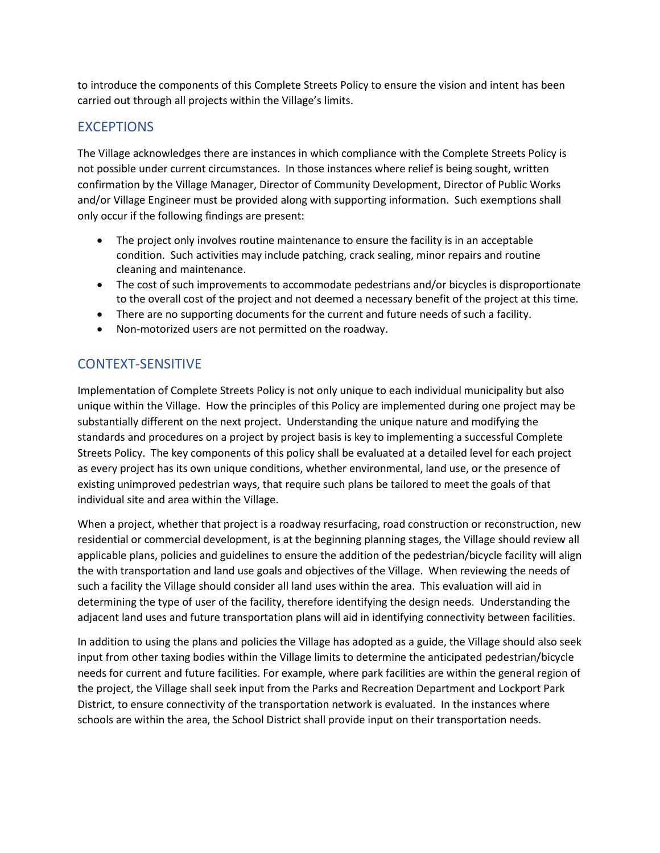to introduce the components of this Complete Streets Policy to ensure the vision and intent has been carried out through all projects within the Village's limits.

## **EXCEPTIONS**

The Village acknowledges there are instances in which compliance with the Complete Streets Policy is not possible under current circumstances. In those instances where relief is being sought, written confirmation by the Village Manager, Director of Community Development, Director of Public Works and/or Village Engineer must be provided along with supporting information. Such exemptions shall only occur if the following findings are present:

- The project only involves routine maintenance to ensure the facility is in an acceptable condition. Such activities may include patching, crack sealing, minor repairs and routine cleaning and maintenance.
- The cost of such improvements to accommodate pedestrians and/or bicycles is disproportionate to the overall cost of the project and not deemed a necessary benefit of the project at this time.
- There are no supporting documents for the current and future needs of such a facility.
- Non-motorized users are not permitted on the roadway.

## CONTEXT-SENSITIVE

Implementation of Complete Streets Policy is not only unique to each individual municipality but also unique within the Village. How the principles of this Policy are implemented during one project may be substantially different on the next project. Understanding the unique nature and modifying the standards and procedures on a project by project basis is key to implementing a successful Complete Streets Policy. The key components of this policy shall be evaluated at a detailed level for each project as every project has its own unique conditions, whether environmental, land use, or the presence of existing unimproved pedestrian ways, that require such plans be tailored to meet the goals of that individual site and area within the Village.

When a project, whether that project is a roadway resurfacing, road construction or reconstruction, new residential or commercial development, is at the beginning planning stages, the Village should review all applicable plans, policies and guidelines to ensure the addition of the pedestrian/bicycle facility will align the with transportation and land use goals and objectives of the Village. When reviewing the needs of such a facility the Village should consider all land uses within the area. This evaluation will aid in determining the type of user of the facility, therefore identifying the design needs. Understanding the adjacent land uses and future transportation plans will aid in identifying connectivity between facilities.

In addition to using the plans and policies the Village has adopted as a guide, the Village should also seek input from other taxing bodies within the Village limits to determine the anticipated pedestrian/bicycle needs for current and future facilities. For example, where park facilities are within the general region of the project, the Village shall seek input from the Parks and Recreation Department and Lockport Park District, to ensure connectivity of the transportation network is evaluated. In the instances where schools are within the area, the School District shall provide input on their transportation needs.